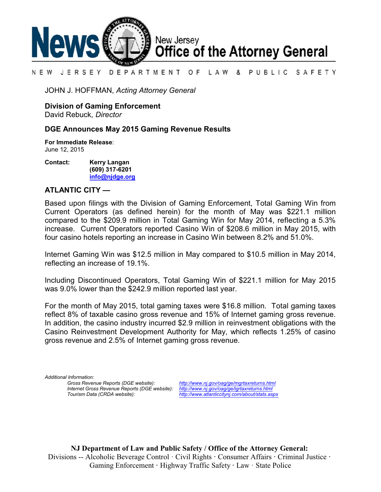

#### N E W JERSEY DEPARTMENT OF LAW & PUBLIC SAFETY

JOHN J. HOFFMAN, *Acting Attorney General*

**Division of Gaming Enforcement**

David Rebuck, *Director*

# **DGE Announces May 2015 Gaming Revenue Results**

**For Immediate Release**: June 12, 2015

**Contact: Kerry Langan (609) 317-6201 [info@njdge.org](file:///|//info@njdge.org)**

# **ATLANTIC CITY —**

Based upon filings with the Division of Gaming Enforcement, Total Gaming Win from Current Operators (as defined herein) for the month of May was \$221.1 million compared to the \$209.9 million in Total Gaming Win for May 2014, reflecting a 5.3% increase. Current Operators reported Casino Win of \$208.6 million in May 2015, with four casino hotels reporting an increase in Casino Win between 8.2% and 51.0%.

Internet Gaming Win was \$12.5 million in May compared to \$10.5 million in May 2014, reflecting an increase of 19.1%.

Including Discontinued Operators, Total Gaming Win of \$221.1 million for May 2015 was 9.0% lower than the \$242.9 million reported last year.

For the month of May 2015, total gaming taxes were \$16.8 million. Total gaming taxes reflect 8% of taxable casino gross revenue and 15% of Internet gaming gross revenue. In addition, the casino industry incurred \$2.9 million in reinvestment obligations with the Casino Reinvestment Development Authority for May, which reflects 1.25% of casino gross revenue and 2.5% of Internet gaming gross revenue.

*Additional Information: Internet Gross Revenue Reports (DGE website):*<br>Tourism Data (CRDA website):

*Gross Revenue Reports (DGE website): <http://www.nj.gov/oag/ge/mgrtaxreturns.html> Tourism Data (CRDA website): <http://www.atlanticcitynj.com/about/stats.aspx>*

**NJ Department of Law and Public Safety / Office of the Attorney General:** Divisions -- Alcoholic Beverage Control · Civil Rights **·** Consumer Affairs **·** Criminal Justice **·**  Gaming Enforcement **·** Highway Traffic Safety **·** Law · State Police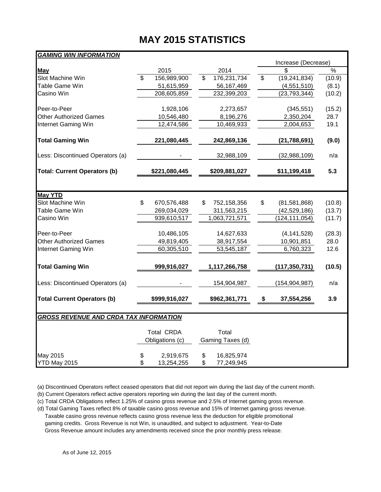# **MAY 2015 STATISTICS**

# *GAMING WIN INFORMATION*

|                                               |                                      |               |    |                           | Increase (Decrease) |                 |        |  |  |  |
|-----------------------------------------------|--------------------------------------|---------------|----|---------------------------|---------------------|-----------------|--------|--|--|--|
| May                                           |                                      | 2015          |    | 2014                      |                     | \$              | %      |  |  |  |
| Slot Machine Win                              | $\overline{\mathcal{S}}$             | 156,989,900   | \$ | 176,231,734               | \$                  | (19, 241, 834)  | (10.9) |  |  |  |
| Table Game Win                                |                                      | 51,615,959    |    | 56, 167, 469              |                     | (4,551,510)     | (8.1)  |  |  |  |
| Casino Win                                    |                                      | 208,605,859   |    | 232,399,203               |                     | (23, 793, 344)  | (10.2) |  |  |  |
| Peer-to-Peer                                  |                                      | 1,928,106     |    | 2,273,657                 |                     | (345, 551)      | (15.2) |  |  |  |
| <b>Other Authorized Games</b>                 |                                      | 10,546,480    |    | 8,196,276                 |                     | 2,350,204       | 28.7   |  |  |  |
| Internet Gaming Win                           |                                      | 12,474,586    |    | 10,469,933                |                     | 2,004,653       | 19.1   |  |  |  |
| <b>Total Gaming Win</b>                       |                                      | 221,080,445   |    | 242,869,136               |                     | (21, 788, 691)  | (9.0)  |  |  |  |
| Less: Discontinued Operators (a)              |                                      |               |    | 32,988,109                |                     | (32,988,109)    | n/a    |  |  |  |
| <b>Total: Current Operators (b)</b>           |                                      | \$221,080,445 |    | \$209,881,027             |                     | 5.3             |        |  |  |  |
|                                               |                                      |               |    |                           |                     |                 |        |  |  |  |
| <b>May YTD</b>                                |                                      |               |    |                           |                     |                 |        |  |  |  |
| Slot Machine Win                              | \$                                   | 670,576,488   | \$ | 752,158,356               | \$                  | (81,581,868)    | (10.8) |  |  |  |
| Table Game Win                                |                                      | 269,034,029   |    | 311,563,215               |                     | (42, 529, 186)  | (13.7) |  |  |  |
| Casino Win                                    |                                      | 939,610,517   |    | 1,063,721,571             |                     | (124, 111, 054) | (11.7) |  |  |  |
| Peer-to-Peer                                  |                                      | 10,486,105    |    | 14,627,633                |                     | (4, 141, 528)   | (28.3) |  |  |  |
| <b>Other Authorized Games</b>                 |                                      | 49,819,405    |    | 38,917,554                |                     | 10,901,851      | 28.0   |  |  |  |
| Internet Gaming Win                           |                                      | 60,305,510    |    | 53,545,187                |                     | 6,760,323       | 12.6   |  |  |  |
| <b>Total Gaming Win</b>                       |                                      | 999,916,027   |    | 1,117,266,758             |                     | (117, 350, 731) | (10.5) |  |  |  |
| Less: Discontinued Operators (a)              |                                      |               |    | 154,904,987               |                     | (154, 904, 987) | n/a    |  |  |  |
| <b>Total Current Operators (b)</b>            |                                      | \$999,916,027 |    | \$962,361,771             | \$                  | 37,554,256      | 3.9    |  |  |  |
| <b>GROSS REVENUE AND CRDA TAX INFORMATION</b> |                                      |               |    |                           |                     |                 |        |  |  |  |
|                                               |                                      |               |    |                           |                     |                 |        |  |  |  |
|                                               | <b>Total CRDA</b><br>Obligations (c) |               |    | Total<br>Gaming Taxes (d) |                     |                 |        |  |  |  |
|                                               |                                      |               |    |                           |                     |                 |        |  |  |  |
| May 2015                                      | \$                                   | 2,919,675     | \$ | 16,825,974                |                     |                 |        |  |  |  |
| YTD May 2015                                  | \$                                   | 13,254,255    | \$ | 77,249,945                |                     |                 |        |  |  |  |

(a) Discontinued Operators reflect ceased operators that did not report win during the last day of the current month.

(b) Current Operators reflect active operators reporting win during the last day of the current month.

(c) Total CRDA Obligations reflect 1.25% of casino gross revenue and 2.5% of Internet gaming gross revenue.

(d) Total Gaming Taxes reflect 8% of taxable casino gross revenue and 15% of Internet gaming gross revenue. Taxable casino gross revenue reflects casino gross revenue less the deduction for eligible promotional gaming credits. Gross Revenue is not Win, is unaudited, and subject to adjustment. Year-to-Date

Gross Revenue amount includes any amendments received since the prior monthly press release.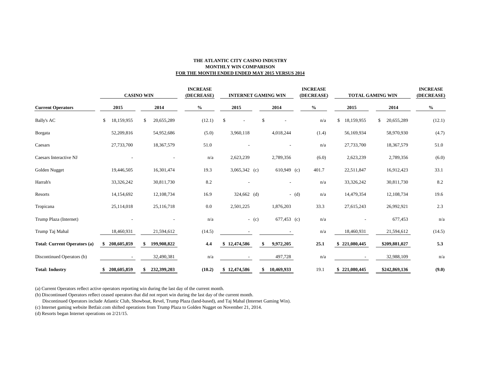### **THE ATLANTIC CITY CASINO INDUSTRY MONTHLY WIN COMPARISON FOR THE MONTH ENDED ENDED MAY 2015 VERSUS 2014**

|                                     | <b>CASINO WIN</b> |                  | <b>INCREASE</b><br>(DECREASE) | <b>INTERNET GAMING WIN</b> |         |                          | <b>INCREASE</b><br>(DECREASE) | <b>TOTAL GAMING WIN</b> |                  | <b>INCREASE</b><br>(DECREASE) |
|-------------------------------------|-------------------|------------------|-------------------------------|----------------------------|---------|--------------------------|-------------------------------|-------------------------|------------------|-------------------------------|
| <b>Current Operators</b>            | 2015              | 2014             | $\%$                          | 2015                       |         | 2014                     | $\%$                          | 2015                    | 2014             | $\frac{6}{6}$                 |
| Bally's AC                          | 18,159,955<br>\$  | 20,655,289<br>\$ | (12.1)                        | \$                         | \$      |                          | n/a                           | \$<br>18,159,955        | \$<br>20,655,289 | (12.1)                        |
| <b>B</b> orgata                     | 52,209,816        | 54,952,686       | (5.0)                         | 3,960,118                  |         | 4,018,244                | (1.4)                         | 56,169,934              | 58,970,930       | (4.7)                         |
| Caesars                             | 27,733,700        | 18,367,579       | 51.0                          |                            |         |                          | n/a                           | 27,733,700              | 18,367,579       | 51.0                          |
| Caesars Interactive NJ              |                   |                  | n/a                           | 2,623,239                  |         | 2,789,356                | (6.0)                         | 2,623,239               | 2,789,356        | (6.0)                         |
| Golden Nugget                       | 19,446,505        | 16,301,474       | 19.3                          | $3,065,342$ (c)            |         | $610,949$ (c)            | 401.7                         | 22,511,847              | 16,912,423       | 33.1                          |
| Harrah's                            | 33,326,242        | 30,811,730       | 8.2                           |                            |         | $\overline{\phantom{a}}$ | n/a                           | 33,326,242              | 30,811,730       | 8.2                           |
| Resorts                             | 14,154,692        | 12,108,734       | 16.9                          | $324,662$ (d)              |         | $-$ (d)                  | n/a                           | 14,479,354              | 12,108,734       | 19.6                          |
| Tropicana                           | 25,114,018        | 25,116,718       | 0.0                           | 2,501,225                  |         | 1,876,203                | 33.3                          | 27,615,243              | 26,992,921       | 2.3                           |
| Trump Plaza (Internet)              |                   |                  | n/a                           |                            | $-$ (c) | 677,453 (c)              | n/a                           |                         | 677,453          | n/a                           |
| Trump Taj Mahal                     | 18,460,931        | 21,594,612       | (14.5)                        |                            |         |                          | n/a                           | 18,460,931              | 21,594,612       | (14.5)                        |
| <b>Total: Current Operators (a)</b> | 208,605,859       | 199,908,822      | 4.4                           | 12,474,586                 | \$      | 9,972,205                | 25.1                          | 221,080,445             | \$209,881,027    | 5.3                           |
| Discontinued Operators (b)          |                   | 32,490,381       | n/a                           |                            |         | 497,728                  | n/a                           |                         | 32,988,109       | n/a                           |
| <b>Total: Industry</b>              | 208,605,859<br>S. | 232,399,203      | (10.2)                        | \$12,474,586               | \$      | 10,469,933               | 19.1                          | \$221,080,445           | \$242,869,136    | (9.0)                         |

(a) Current Operators reflect active operators reporting win during the last day of the current month.

(b) Discontinued Operators reflect ceased operators that did not report win during the last day of the current month.

Discontinued Operators include Atlantic Club, Showboat, Revel, Trump Plaza (land-based), and Taj Mahal (Internet Gaming Win).

(c) Internet gaming website Betfair.com shifted operations from Trump Plaza to Golden Nugget on November 21, 2014.

(d) Resorts began Internet operations on 2/21/15.